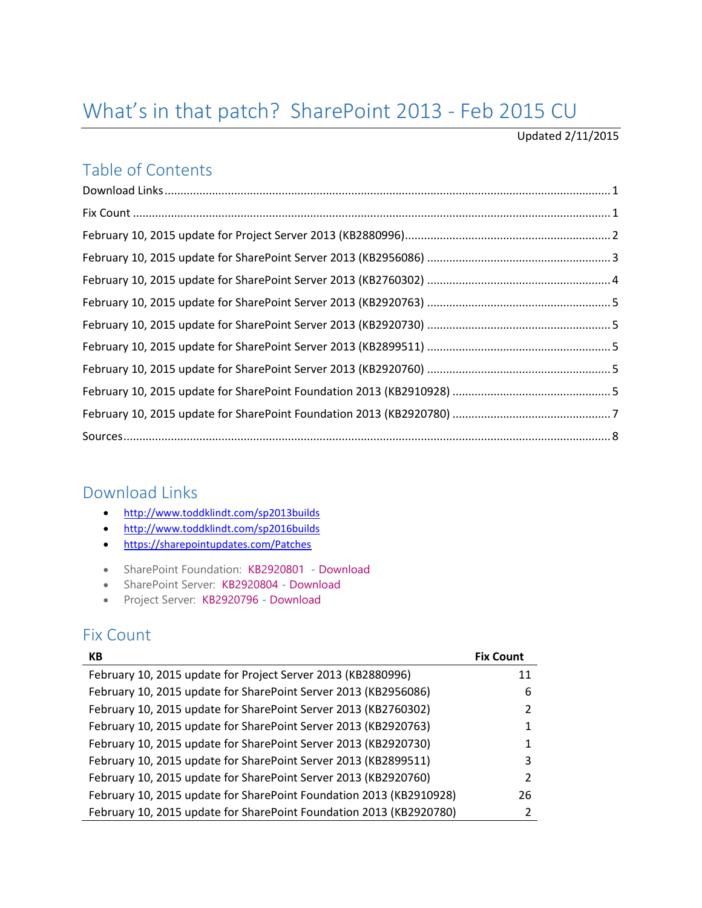# What's in that patch? SharePoint 2013 - Feb 2015 CU

#### Updated 2/11/2015

## Table of Contents

#### <span id="page-0-0"></span>Download Links

- <http://www.toddklindt.com/sp2013builds>
- <http://www.toddklindt.com/sp2016builds>
- <https://sharepointupdates.com/Patches>
- SharePoint Foundation: [KB2920801](http://support.microsoft.com/KB/2920801)  [Download](http://www.microsoft.com/en-us/download/details.aspx?id=45821)
- SharePoint Server: [KB2920804](http://support.microsoft.com/KB/2920804) [Download](http://www.microsoft.com/en-us/download/details.aspx?id=45822)
- Project Server: [KB2920796](http://support.microsoft.com/KB/2920796) [Download](http://www.microsoft.com/en-us/download/details.aspx?id=45820)

#### <span id="page-0-1"></span>Fix Count

| КB                                                                  | <b>Fix Count</b> |
|---------------------------------------------------------------------|------------------|
| February 10, 2015 update for Project Server 2013 (KB2880996)        | 11               |
| February 10, 2015 update for SharePoint Server 2013 (KB2956086)     | 6                |
| February 10, 2015 update for SharePoint Server 2013 (KB2760302)     |                  |
| February 10, 2015 update for SharePoint Server 2013 (KB2920763)     |                  |
| February 10, 2015 update for SharePoint Server 2013 (KB2920730)     |                  |
| February 10, 2015 update for SharePoint Server 2013 (KB2899511)     | 3                |
| February 10, 2015 update for SharePoint Server 2013 (KB2920760)     |                  |
| February 10, 2015 update for SharePoint Foundation 2013 (KB2910928) | 26               |
| February 10, 2015 update for SharePoint Foundation 2013 (KB2920780) |                  |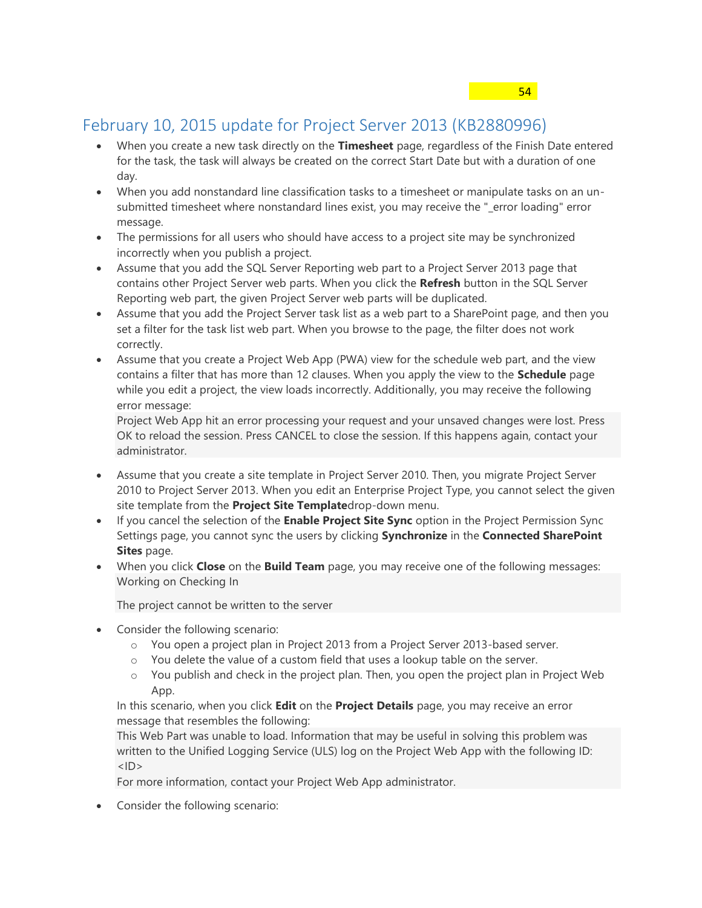## <span id="page-1-0"></span>February 10, 2015 update for Project Server 2013 (KB2880996)

- When you create a new task directly on the **Timesheet** page, regardless of the Finish Date entered for the task, the task will always be created on the correct Start Date but with a duration of one day.
- When you add nonstandard line classification tasks to a timesheet or manipulate tasks on an unsubmitted timesheet where nonstandard lines exist, you may receive the "\_error loading" error message.
- The permissions for all users who should have access to a project site may be synchronized incorrectly when you publish a project.
- Assume that you add the SQL Server Reporting web part to a Project Server 2013 page that contains other Project Server web parts. When you click the **Refresh** button in the SQL Server Reporting web part, the given Project Server web parts will be duplicated.
- Assume that you add the Project Server task list as a web part to a SharePoint page, and then you set a filter for the task list web part. When you browse to the page, the filter does not work correctly.
- Assume that you create a Project Web App (PWA) view for the schedule web part, and the view contains a filter that has more than 12 clauses. When you apply the view to the **Schedule** page while you edit a project, the view loads incorrectly. Additionally, you may receive the following error message:

Project Web App hit an error processing your request and your unsaved changes were lost. Press OK to reload the session. Press CANCEL to close the session. If this happens again, contact your administrator.

- Assume that you create a site template in Project Server 2010. Then, you migrate Project Server 2010 to Project Server 2013. When you edit an Enterprise Project Type, you cannot select the given site template from the **Project Site Template**drop-down menu.
- If you cancel the selection of the **Enable Project Site Sync** option in the Project Permission Sync Settings page, you cannot sync the users by clicking **Synchronize** in the **Connected SharePoint Sites** page.
- When you click **Close** on the **Build Team** page, you may receive one of the following messages: Working on Checking In

The project cannot be written to the server

- Consider the following scenario:
	- o You open a project plan in Project 2013 from a Project Server 2013-based server.
	- $\circ$  You delete the value of a custom field that uses a lookup table on the server.
	- o You publish and check in the project plan. Then, you open the project plan in Project Web App.

In this scenario, when you click **Edit** on the **Project Details** page, you may receive an error message that resembles the following:

This Web Part was unable to load. Information that may be useful in solving this problem was written to the Unified Logging Service (ULS) log on the Project Web App with the following ID:  $<$ ID $>$ 

For more information, contact your Project Web App administrator.

Consider the following scenario: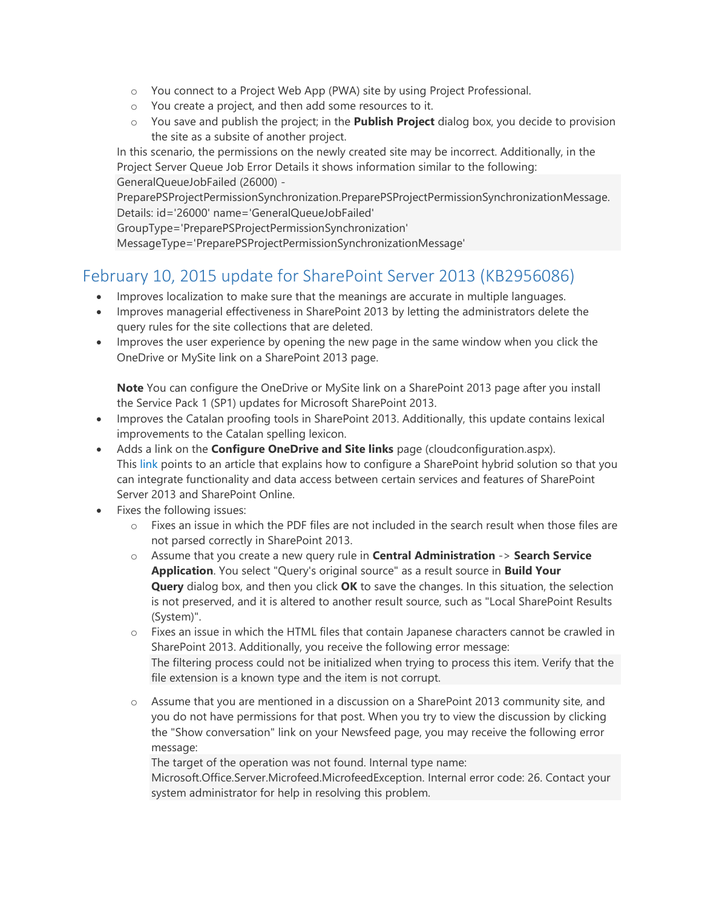- o You connect to a Project Web App (PWA) site by using Project Professional.
- o You create a project, and then add some resources to it.
- o You save and publish the project; in the **Publish Project** dialog box, you decide to provision the site as a subsite of another project.

In this scenario, the permissions on the newly created site may be incorrect. Additionally, in the Project Server Queue Job Error Details it shows information similar to the following: GeneralQueueJobFailed (26000) -

PreparePSProjectPermissionSynchronization.PreparePSProjectPermissionSynchronizationMessage. Details: id='26000' name='GeneralQueueJobFailed'

GroupType='PreparePSProjectPermissionSynchronization'

MessageType='PreparePSProjectPermissionSynchronizationMessage'

# <span id="page-2-0"></span>February 10, 2015 update for SharePoint Server 2013 (KB2956086)

- Improves localization to make sure that the meanings are accurate in multiple languages.
- Improves managerial effectiveness in SharePoint 2013 by letting the administrators delete the query rules for the site collections that are deleted.
- Improves the user experience by opening the new page in the same window when you click the OneDrive or MySite link on a SharePoint 2013 page.

**Note** You can configure the OneDrive or MySite link on a SharePoint 2013 page after you install the Service Pack 1 (SP1) updates for Microsoft SharePoint 2013.

- Improves the Catalan proofing tools in SharePoint 2013. Additionally, this update contains lexical improvements to the Catalan spelling lexicon.
- Adds a link on the **Configure OneDrive and Site links** page (cloudconfiguration.aspx). This [link](http://technet.microsoft.com/en-us/library/dn607314(v=office.15).aspx) points to an article that explains how to configure a SharePoint hybrid solution so that you can integrate functionality and data access between certain services and features of SharePoint Server 2013 and SharePoint Online.
- Fixes the following issues:
	- o Fixes an issue in which the PDF files are not included in the search result when those files are not parsed correctly in SharePoint 2013.
	- o Assume that you create a new query rule in **Central Administration** -> **Search Service Application**. You select "Query's original source" as a result source in **Build Your Query** dialog box, and then you click **OK** to save the changes. In this situation, the selection is not preserved, and it is altered to another result source, such as "Local SharePoint Results (System)".
	- $\circ$  Fixes an issue in which the HTML files that contain Japanese characters cannot be crawled in SharePoint 2013. Additionally, you receive the following error message: The filtering process could not be initialized when trying to process this item. Verify that the file extension is a known type and the item is not corrupt.
	- o Assume that you are mentioned in a discussion on a SharePoint 2013 community site, and you do not have permissions for that post. When you try to view the discussion by clicking the "Show conversation" link on your Newsfeed page, you may receive the following error message:

The target of the operation was not found. Internal type name:

Microsoft.Office.Server.Microfeed.MicrofeedException. Internal error code: 26. Contact your system administrator for help in resolving this problem.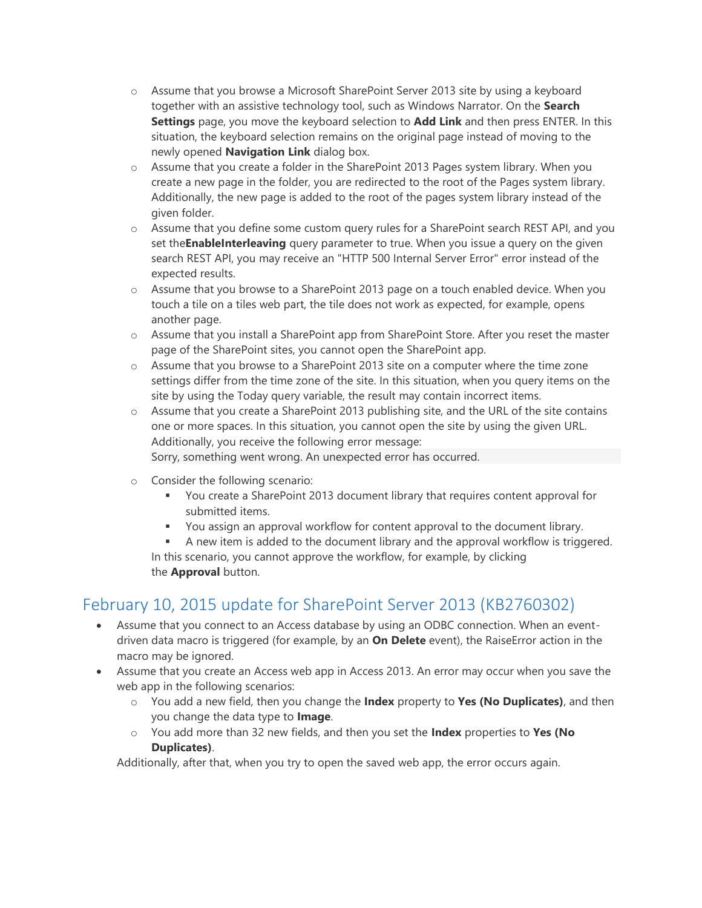- o Assume that you browse a Microsoft SharePoint Server 2013 site by using a keyboard together with an assistive technology tool, such as Windows Narrator. On the **Search Settings** page, you move the keyboard selection to **Add Link** and then press ENTER. In this situation, the keyboard selection remains on the original page instead of moving to the newly opened **Navigation Link** dialog box.
- o Assume that you create a folder in the SharePoint 2013 Pages system library. When you create a new page in the folder, you are redirected to the root of the Pages system library. Additionally, the new page is added to the root of the pages system library instead of the given folder.
- o Assume that you define some custom query rules for a SharePoint search REST API, and you set the**EnableInterleaving** query parameter to true. When you issue a query on the given search REST API, you may receive an "HTTP 500 Internal Server Error" error instead of the expected results.
- o Assume that you browse to a SharePoint 2013 page on a touch enabled device. When you touch a tile on a tiles web part, the tile does not work as expected, for example, opens another page.
- o Assume that you install a SharePoint app from SharePoint Store. After you reset the master page of the SharePoint sites, you cannot open the SharePoint app.
- o Assume that you browse to a SharePoint 2013 site on a computer where the time zone settings differ from the time zone of the site. In this situation, when you query items on the site by using the Today query variable, the result may contain incorrect items.
- o Assume that you create a SharePoint 2013 publishing site, and the URL of the site contains one or more spaces. In this situation, you cannot open the site by using the given URL. Additionally, you receive the following error message: Sorry, something went wrong. An unexpected error has occurred.
- o Consider the following scenario:
	- You create a SharePoint 2013 document library that requires content approval for submitted items.
	- You assign an approval workflow for content approval to the document library.
	- A new item is added to the document library and the approval workflow is triggered. In this scenario, you cannot approve the workflow, for example, by clicking the **Approval** button.

#### <span id="page-3-0"></span>February 10, 2015 update for SharePoint Server 2013 (KB2760302)

- Assume that you connect to an Access database by using an ODBC connection. When an eventdriven data macro is triggered (for example, by an **On Delete** event), the RaiseError action in the macro may be ignored.
- Assume that you create an Access web app in Access 2013. An error may occur when you save the web app in the following scenarios:
	- o You add a new field, then you change the **Index** property to **Yes (No Duplicates)**, and then you change the data type to **Image**.
	- o You add more than 32 new fields, and then you set the **Index** properties to **Yes (No Duplicates)**.

Additionally, after that, when you try to open the saved web app, the error occurs again.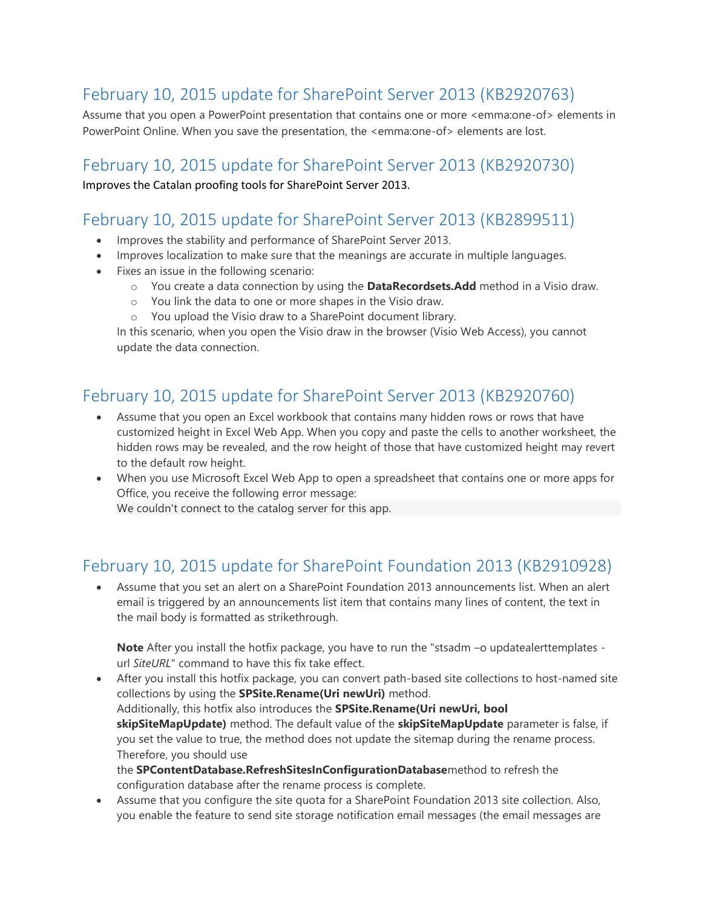## <span id="page-4-0"></span>February 10, 2015 update for SharePoint Server 2013 (KB2920763)

Assume that you open a PowerPoint presentation that contains one or more <emma:one-of> elements in PowerPoint Online. When you save the presentation, the <emma:one-of> elements are lost.

#### <span id="page-4-1"></span>February 10, 2015 update for SharePoint Server 2013 (KB2920730)

Improves the Catalan proofing tools for SharePoint Server 2013.

## <span id="page-4-2"></span>February 10, 2015 update for SharePoint Server 2013 (KB2899511)

- Improves the stability and performance of SharePoint Server 2013.
- Improves localization to make sure that the meanings are accurate in multiple languages.
- Fixes an issue in the following scenario:
	- o You create a data connection by using the **DataRecordsets.Add** method in a Visio draw.
	- o You link the data to one or more shapes in the Visio draw.
	- o You upload the Visio draw to a SharePoint document library.

In this scenario, when you open the Visio draw in the browser (Visio Web Access), you cannot update the data connection.

### <span id="page-4-3"></span>February 10, 2015 update for SharePoint Server 2013 (KB2920760)

- Assume that you open an Excel workbook that contains many hidden rows or rows that have customized height in Excel Web App. When you copy and paste the cells to another worksheet, the hidden rows may be revealed, and the row height of those that have customized height may revert to the default row height.
- When you use Microsoft Excel Web App to open a spreadsheet that contains one or more apps for Office, you receive the following error message:

We couldn't connect to the catalog server for this app.

#### <span id="page-4-4"></span>February 10, 2015 update for SharePoint Foundation 2013 (KB2910928)

 Assume that you set an alert on a SharePoint Foundation 2013 announcements list. When an alert email is triggered by an announcements list item that contains many lines of content, the text in the mail body is formatted as strikethrough.

**Note** After you install the hotfix package, you have to run the "stsadm -o updatealerttemplates url *SiteURL*" command to have this fix take effect.

 After you install this hotfix package, you can convert path-based site collections to host-named site collections by using the **SPSite.Rename(Uri newUri)** method. Additionally, this hotfix also introduces the **SPSite.Rename(Uri newUri, bool skipSiteMapUpdate)** method. The default value of the **skipSiteMapUpdate** parameter is false, if you set the value to true, the method does not update the sitemap during the rename process. Therefore, you should use the **SPContentDatabase.RefreshSitesInConfigurationDatabase**method to refresh the

configuration database after the rename process is complete.

 Assume that you configure the site quota for a SharePoint Foundation 2013 site collection. Also, you enable the feature to send site storage notification email messages (the email messages are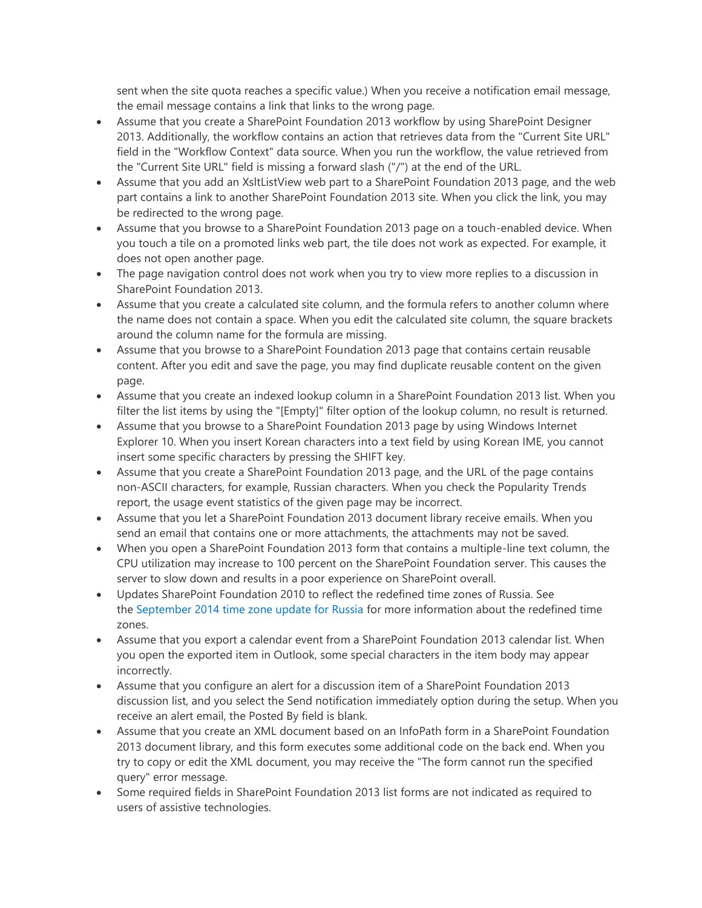sent when the site quota reaches a specific value.) When you receive a notification email message, the email message contains a link that links to the wrong page.

- Assume that you create a SharePoint Foundation 2013 workflow by using SharePoint Designer 2013. Additionally, the workflow contains an action that retrieves data from the "Current Site URL" field in the "Workflow Context" data source. When you run the workflow, the value retrieved from the "Current Site URL" field is missing a forward slash ("/") at the end of the URL.
- Assume that you add an XsltListView web part to a SharePoint Foundation 2013 page, and the web part contains a link to another SharePoint Foundation 2013 site. When you click the link, you may be redirected to the wrong page.
- Assume that you browse to a SharePoint Foundation 2013 page on a touch-enabled device. When you touch a tile on a promoted links web part, the tile does not work as expected. For example, it does not open another page.
- The page navigation control does not work when you try to view more replies to a discussion in SharePoint Foundation 2013.
- Assume that you create a calculated site column, and the formula refers to another column where the name does not contain a space. When you edit the calculated site column, the square brackets around the column name for the formula are missing.
- Assume that you browse to a SharePoint Foundation 2013 page that contains certain reusable content. After you edit and save the page, you may find duplicate reusable content on the given page.
- Assume that you create an indexed lookup column in a SharePoint Foundation 2013 list. When you filter the list items by using the "[Empty]" filter option of the lookup column, no result is returned.
- Assume that you browse to a SharePoint Foundation 2013 page by using Windows Internet Explorer 10. When you insert Korean characters into a text field by using Korean IME, you cannot insert some specific characters by pressing the SHIFT key.
- Assume that you create a SharePoint Foundation 2013 page, and the URL of the page contains non-ASCII characters, for example, Russian characters. When you check the Popularity Trends report, the usage event statistics of the given page may be incorrect.
- Assume that you let a SharePoint Foundation 2013 document library receive emails. When you send an email that contains one or more attachments, the attachments may not be saved.
- When you open a SharePoint Foundation 2013 form that contains a multiple-line text column, the CPU utilization may increase to 100 percent on the SharePoint Foundation server. This causes the server to slow down and results in a poor experience on SharePoint overall.
- Updates SharePoint Foundation 2010 to reflect the redefined time zones of Russia. See the [September 2014 time zone update for Russia](http://support2.microsoft.com/kb/2998527) for more information about the redefined time zones.
- Assume that you export a calendar event from a SharePoint Foundation 2013 calendar list. When you open the exported item in Outlook, some special characters in the item body may appear incorrectly.
- Assume that you configure an alert for a discussion item of a SharePoint Foundation 2013 discussion list, and you select the Send notification immediately option during the setup. When you receive an alert email, the Posted By field is blank.
- Assume that you create an XML document based on an InfoPath form in a SharePoint Foundation 2013 document library, and this form executes some additional code on the back end. When you try to copy or edit the XML document, you may receive the "The form cannot run the specified query" error message.
- Some required fields in SharePoint Foundation 2013 list forms are not indicated as required to users of assistive technologies.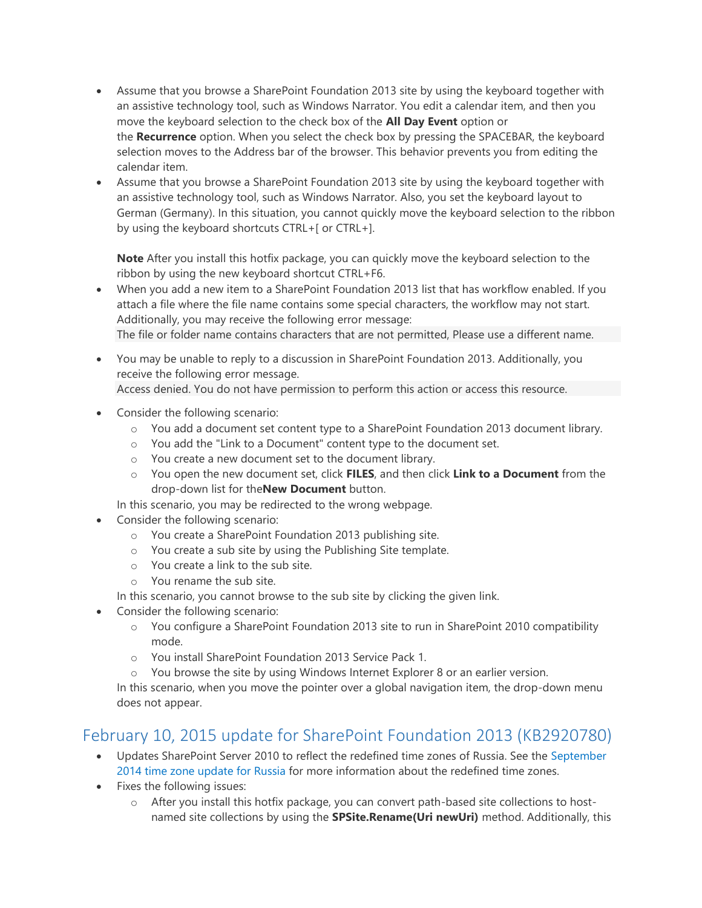- Assume that you browse a SharePoint Foundation 2013 site by using the keyboard together with an assistive technology tool, such as Windows Narrator. You edit a calendar item, and then you move the keyboard selection to the check box of the **All Day Event** option or the **Recurrence** option. When you select the check box by pressing the SPACEBAR, the keyboard selection moves to the Address bar of the browser. This behavior prevents you from editing the calendar item.
- Assume that you browse a SharePoint Foundation 2013 site by using the keyboard together with an assistive technology tool, such as Windows Narrator. Also, you set the keyboard layout to German (Germany). In this situation, you cannot quickly move the keyboard selection to the ribbon by using the keyboard shortcuts CTRL+[ or CTRL+].

**Note** After you install this hotfix package, you can quickly move the keyboard selection to the ribbon by using the new keyboard shortcut CTRL+F6.

- When you add a new item to a SharePoint Foundation 2013 list that has workflow enabled. If you attach a file where the file name contains some special characters, the workflow may not start. Additionally, you may receive the following error message: The file or folder name contains characters that are not permitted, Please use a different name.
- You may be unable to reply to a discussion in SharePoint Foundation 2013. Additionally, you receive the following error message. Access denied. You do not have permission to perform this action or access this resource.
- Consider the following scenario:
	- o You add a document set content type to a SharePoint Foundation 2013 document library.
	- o You add the "Link to a Document" content type to the document set.
	- o You create a new document set to the document library.
	- o You open the new document set, click **FILES**, and then click **Link to a Document** from the drop-down list for the**New Document** button.

In this scenario, you may be redirected to the wrong webpage.

- Consider the following scenario:
	- o You create a SharePoint Foundation 2013 publishing site.
	- o You create a sub site by using the Publishing Site template.
	- o You create a link to the sub site.
	- o You rename the sub site.

In this scenario, you cannot browse to the sub site by clicking the given link.

- Consider the following scenario:
	- o You configure a SharePoint Foundation 2013 site to run in SharePoint 2010 compatibility mode.
	- o You install SharePoint Foundation 2013 Service Pack 1.
	- $\circ$  You browse the site by using Windows Internet Explorer 8 or an earlier version.

In this scenario, when you move the pointer over a global navigation item, the drop-down menu does not appear.

#### <span id="page-6-0"></span>February 10, 2015 update for SharePoint Foundation 2013 (KB2920780)

- Updates SharePoint Server 2010 to reflect the redefined time zones of Russia. See the September [2014 time zone update for Russia](http://support2.microsoft.com/kb/2998527) for more information about the redefined time zones.
- Fixes the following issues:
	- o After you install this hotfix package, you can convert path-based site collections to hostnamed site collections by using the **SPSite.Rename(Uri newUri)** method. Additionally, this